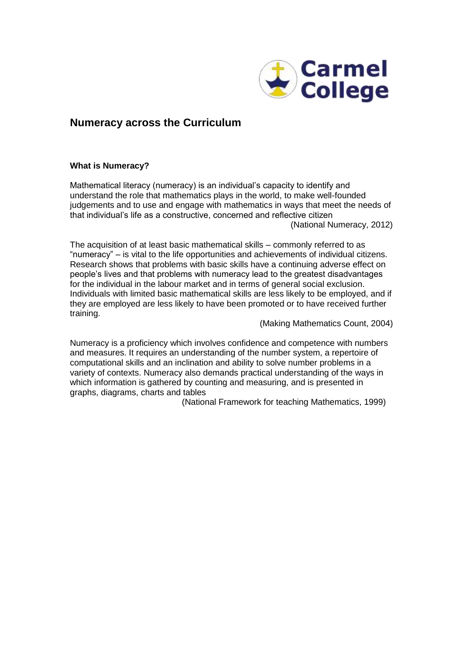

# **Numeracy across the Curriculum**

# **What is Numeracy?**

Mathematical literacy (numeracy) is an individual's capacity to identify and understand the role that mathematics plays in the world, to make well-founded judgements and to use and engage with mathematics in ways that meet the needs of that individual's life as a constructive, concerned and reflective citizen (National Numeracy, 2012)

The acquisition of at least basic mathematical skills – commonly referred to as "numeracy" – is vital to the life opportunities and achievements of individual citizens. Research shows that problems with basic skills have a continuing adverse effect on people's lives and that problems with numeracy lead to the greatest disadvantages for the individual in the labour market and in terms of general social exclusion. Individuals with limited basic mathematical skills are less likely to be employed, and if they are employed are less likely to have been promoted or to have received further training.

(Making Mathematics Count, 2004)

Numeracy is a proficiency which involves confidence and competence with numbers and measures. It requires an understanding of the number system, a repertoire of computational skills and an inclination and ability to solve number problems in a variety of contexts. Numeracy also demands practical understanding of the ways in which information is gathered by counting and measuring, and is presented in graphs, diagrams, charts and tables

(National Framework for teaching Mathematics, 1999)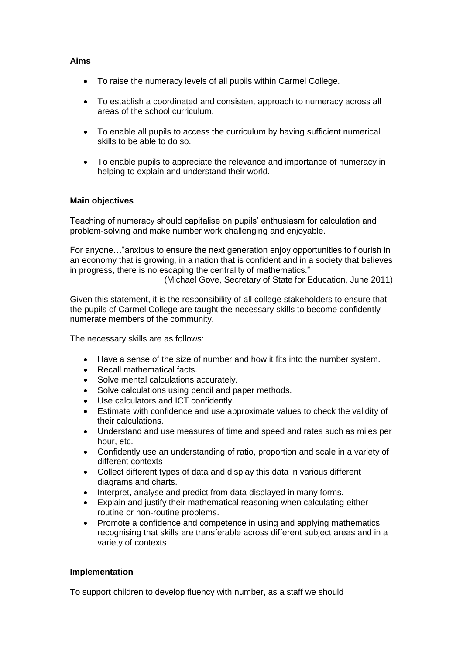# **Aims**

- To raise the numeracy levels of all pupils within Carmel College.
- To establish a coordinated and consistent approach to numeracy across all areas of the school curriculum.
- To enable all pupils to access the curriculum by having sufficient numerical skills to be able to do so.
- To enable pupils to appreciate the relevance and importance of numeracy in helping to explain and understand their world.

### **Main objectives**

Teaching of numeracy should capitalise on pupils' enthusiasm for calculation and problem-solving and make number work challenging and enjoyable.

For anyone…"anxious to ensure the next generation enjoy opportunities to flourish in an economy that is growing, in a nation that is confident and in a society that believes in progress, there is no escaping the centrality of mathematics."

(Michael Gove, Secretary of State for Education, June 2011)

Given this statement, it is the responsibility of all college stakeholders to ensure that the pupils of Carmel College are taught the necessary skills to become confidently numerate members of the community.

The necessary skills are as follows:

- Have a sense of the size of number and how it fits into the number system.
- Recall mathematical facts.
- Solve mental calculations accurately.
- Solve calculations using pencil and paper methods.
- Use calculators and ICT confidently.
- Estimate with confidence and use approximate values to check the validity of their calculations.
- Understand and use measures of time and speed and rates such as miles per hour, etc.
- Confidently use an understanding of ratio, proportion and scale in a variety of different contexts
- Collect different types of data and display this data in various different diagrams and charts.
- Interpret, analyse and predict from data displayed in many forms.
- Explain and justify their mathematical reasoning when calculating either routine or non-routine problems.
- Promote a confidence and competence in using and applying mathematics, recognising that skills are transferable across different subject areas and in a variety of contexts

### **Implementation**

To support children to develop fluency with number, as a staff we should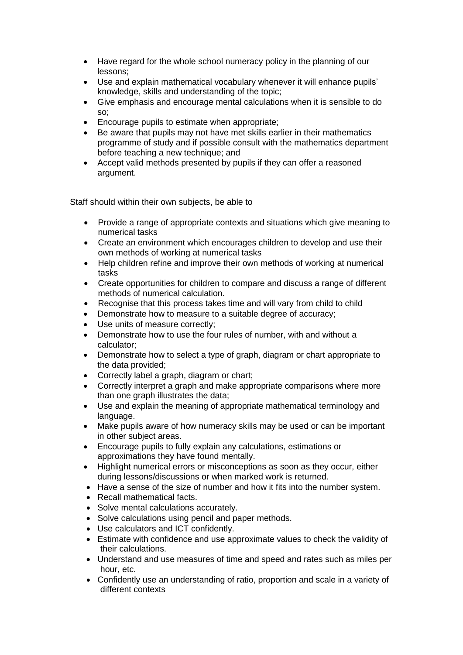- Have regard for the whole school numeracy policy in the planning of our lessons;
- Use and explain mathematical vocabulary whenever it will enhance pupils' knowledge, skills and understanding of the topic;
- Give emphasis and encourage mental calculations when it is sensible to do so;
- Encourage pupils to estimate when appropriate;
- Be aware that pupils may not have met skills earlier in their mathematics programme of study and if possible consult with the mathematics department before teaching a new technique; and
- Accept valid methods presented by pupils if they can offer a reasoned argument.

Staff should within their own subjects, be able to

- Provide a range of appropriate contexts and situations which give meaning to numerical tasks
- Create an environment which encourages children to develop and use their own methods of working at numerical tasks
- Help children refine and improve their own methods of working at numerical tasks
- Create opportunities for children to compare and discuss a range of different methods of numerical calculation.
- Recognise that this process takes time and will vary from child to child
- Demonstrate how to measure to a suitable degree of accuracy;
- Use units of measure correctly;
- Demonstrate how to use the four rules of number, with and without a calculator;
- Demonstrate how to select a type of graph, diagram or chart appropriate to the data provided;
- Correctly label a graph, diagram or chart;
- Correctly interpret a graph and make appropriate comparisons where more than one graph illustrates the data;
- Use and explain the meaning of appropriate mathematical terminology and language.
- Make pupils aware of how numeracy skills may be used or can be important in other subject areas.
- Encourage pupils to fully explain any calculations, estimations or approximations they have found mentally.
- Highlight numerical errors or misconceptions as soon as they occur, either during lessons/discussions or when marked work is returned.
- Have a sense of the size of number and how it fits into the number system.
- Recall mathematical facts.
- Solve mental calculations accurately.
- Solve calculations using pencil and paper methods.
- Use calculators and ICT confidently.
- Estimate with confidence and use approximate values to check the validity of their calculations.
- Understand and use measures of time and speed and rates such as miles per hour, etc.
- Confidently use an understanding of ratio, proportion and scale in a variety of different contexts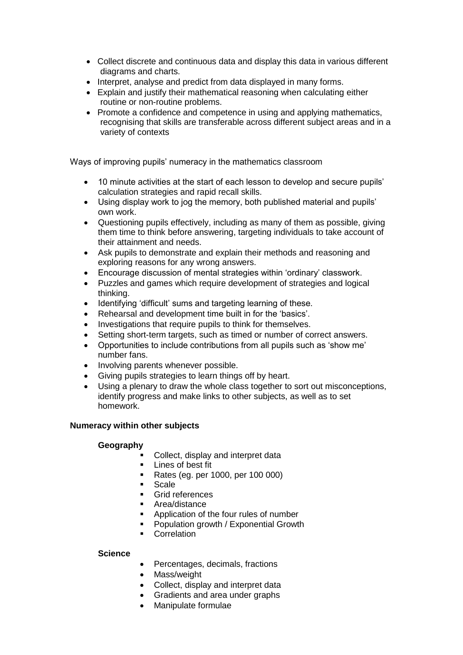- Collect discrete and continuous data and display this data in various different diagrams and charts.
- Interpret, analyse and predict from data displayed in many forms.
- Explain and justify their mathematical reasoning when calculating either routine or non-routine problems.
- Promote a confidence and competence in using and applying mathematics, recognising that skills are transferable across different subject areas and in a variety of contexts

Ways of improving pupils' numeracy in the mathematics classroom

- 10 minute activities at the start of each lesson to develop and secure pupils' calculation strategies and rapid recall skills.
- Using display work to jog the memory, both published material and pupils' own work.
- Questioning pupils effectively, including as many of them as possible, giving them time to think before answering, targeting individuals to take account of their attainment and needs.
- Ask pupils to demonstrate and explain their methods and reasoning and exploring reasons for any wrong answers.
- Encourage discussion of mental strategies within 'ordinary' classwork.
- Puzzles and games which require development of strategies and logical thinking.
- Identifying 'difficult' sums and targeting learning of these.
- Rehearsal and development time built in for the 'basics'.
- Investigations that require pupils to think for themselves.
- Setting short-term targets, such as timed or number of correct answers.
- Opportunities to include contributions from all pupils such as 'show me' number fans.
- Involving parents whenever possible.
- Giving pupils strategies to learn things off by heart.
- Using a plenary to draw the whole class together to sort out misconceptions, identify progress and make links to other subjects, as well as to set homework.

# **Numeracy within other subjects**

# **Geography**

- Collect, display and interpret data
- **Lines of best fit**
- Rates (eq. per 1000, per 100 000)
- Scale
- **Grid references**
- **Area/distance**
- Application of the four rules of number
- Population growth / Exponential Growth
- **Correlation**

# **Science**

- Percentages, decimals, fractions
- Mass/weight
- Collect, display and interpret data
- Gradients and area under graphs
- Manipulate formulae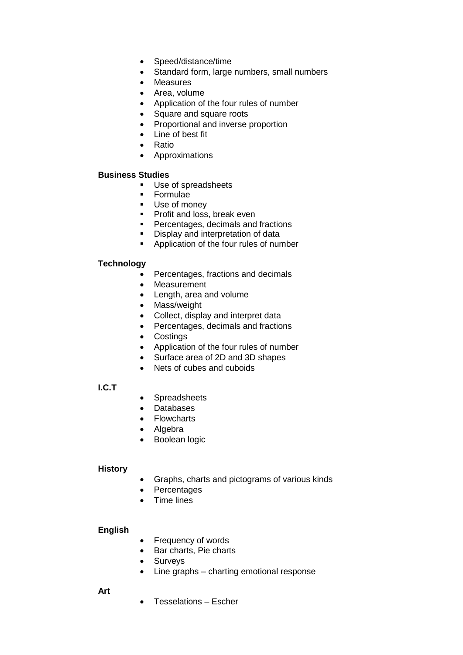- Speed/distance/time
- Standard form, large numbers, small numbers
- Measures
- Area, volume
- Application of the four rules of number
- Square and square roots
- Proportional and inverse proportion
- Line of best fit
- Ratio
- Approximations

# **Business Studies**

- **Use of spreadsheets**
- **Formulae**
- **Use of money**
- **Profit and loss, break even**
- **Percentages, decimals and fractions**
- **•** Display and interpretation of data
- **Application of the four rules of number**

# **Technology**

- Percentages, fractions and decimals
- Measurement
- Length, area and volume
- Mass/weight
- Collect, display and interpret data
- Percentages, decimals and fractions
- Costings
- Application of the four rules of number
- Surface area of 2D and 3D shapes
- Nets of cubes and cuboids

# **I.C.T**

- Spreadsheets
- Databases
- Flowcharts
- Algebra
- Boolean logic

# **History**

- Graphs, charts and pictograms of various kinds
- Percentages
- Time lines

# **English**

- Frequency of words
- Bar charts, Pie charts
- Surveys
- Line graphs charting emotional response

**Art**

Tesselations – Escher